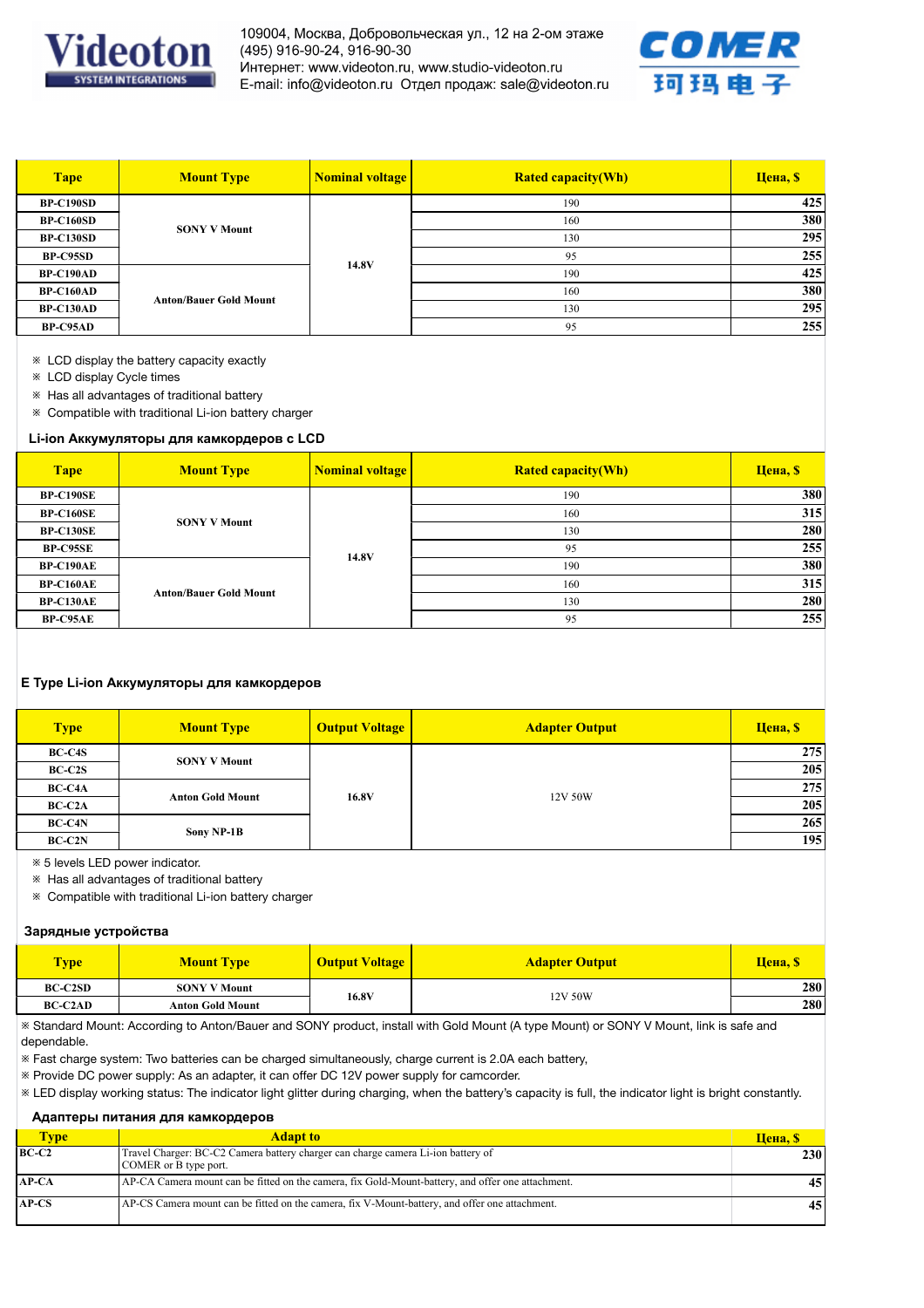

109004, Москва, Добровольческая ул., 12 на 2-ом этаже (495) 916-90-24, 916-90-30 Интернет: www.videoton.ru, www.studio-videoton.ru E-mail: info@videoton.ru Отдел продаж: sale@videoton.ru



| <b>Tape</b>      | <b>Mount Type</b>             | <b>Nominal voltage</b> | <b>Rated capacity(Wh)</b> | <b>Цена</b> , \$ |
|------------------|-------------------------------|------------------------|---------------------------|------------------|
| <b>BP-C190SD</b> |                               | 14.8V                  | 190                       | 425              |
| <b>BP-C160SD</b> | <b>SONY V Mount</b>           |                        | 160                       | 380              |
| <b>BP-C130SD</b> |                               |                        | 130                       | 295              |
| BP-C95SD         |                               |                        | 95                        | 255              |
| <b>BP-C190AD</b> | <b>Anton/Bauer Gold Mount</b> |                        | 190                       | 425              |
| <b>BP-C160AD</b> |                               |                        | 160                       | 380              |
| <b>BP-C130AD</b> |                               |                        | 130                       | 295              |
| <b>BP-C95AD</b>  |                               |                        | 95                        | 255              |

※ LCD display the battery capacity exactly

※ LCD display Cycle times

※ Has all advantages of traditional battery

※ Compatible with traditional Li-ion battery charger

#### **Li-ion Аккумуляторы для камкордеров с LCD**

| <b>Tape</b>      | <b>Mount Type</b>             | Nominal voltage | <b>Rated capacity(Wh)</b> | <b>Цена</b> , \$ |
|------------------|-------------------------------|-----------------|---------------------------|------------------|
| <b>BP-C190SE</b> |                               |                 | 190                       | 380              |
| <b>BP-C160SE</b> | <b>SONY V Mount</b>           |                 | 160                       | 315              |
| <b>BP-C130SE</b> |                               | 14.8V           | 130                       | 280              |
| <b>BP-C95SE</b>  |                               |                 | 95                        | 255              |
| <b>BP-C190AE</b> | <b>Anton/Bauer Gold Mount</b> |                 | 190                       | 380              |
| <b>BP-C160AE</b> |                               |                 | 160                       | 315              |
| BP-C130AE        |                               |                 | 130                       | 280              |
| <b>BP-C95AE</b>  |                               |                 | 95                        | 255              |

### **E Type Li-ion Аккумуляторы для камкордеров**

| <b>Type</b>   | <b>Mount Type</b>       | <b>Output Voltage</b> | <b>Adapter Output</b> | <b>Цена</b> , \$ |
|---------------|-------------------------|-----------------------|-----------------------|------------------|
| <b>BC-C4S</b> | <b>SONY V Mount</b>     | 16.8V                 | 12V 50W               | 275 l            |
| <b>BC-C2S</b> |                         |                       |                       | 205              |
| BC-C4A        | <b>Anton Gold Mount</b> |                       |                       | 275              |
| $BC-C2A$      |                         |                       |                       | 205              |
| BC-C4N        | Sony NP-1B              |                       |                       | 265              |
| BC-C2N        |                         |                       |                       | 195              |

※ 5 levels LED power indicator.

※ Has all advantages of traditional battery

※ Compatible with traditional Li-ion battery charger

#### **Зарядные устройства**

| <b>Type</b>    | <b>Mount Type</b>       | <b>Output Voltage</b> | <b>Adapter Output</b> | <b>Цена</b> , \$ |
|----------------|-------------------------|-----------------------|-----------------------|------------------|
| <b>BC-C2SD</b> | <b>SONY V Mount</b>     | 16.8V                 | 12V 50W               | 280              |
| <b>BC-C2AD</b> | <b>Anton Gold Mount</b> |                       |                       | 280              |

※ Standard Mount: According to Anton/Bauer and SONY product, install with Gold Mount (A type Mount) or SONY V Mount, link is safe and dependable.

※ Fast charge system: Two batteries can be charged simultaneously, charge current is 2.0A each battery,

※ Provide DC power supply: As an adapter, it can offer DC 12V power supply for camcorder.

※ LED display working status: The indicator light glitter during charging, when the battery's capacity is full, the indicator light is bright constantly.

## **Адаптеры питания для камкордеров**

| <b>Type</b> | <b>Adapt to</b>                                                                                           | <b>Цена</b> , <i>S</i> |
|-------------|-----------------------------------------------------------------------------------------------------------|------------------------|
| $BC-C2$     | Travel Charger: BC-C2 Camera battery charger can charge camera Li-ion battery of<br>COMER or B type port. | 230 <sup>1</sup>       |
| $AP-CA$     | AP-CA Camera mount can be fitted on the camera, fix Gold-Mount-battery, and offer one attachment.         | 45 I                   |
| $AP-CS$     | AP-CS Camera mount can be fitted on the camera, fix V-Mount-battery, and offer one attachment.            | 45 I                   |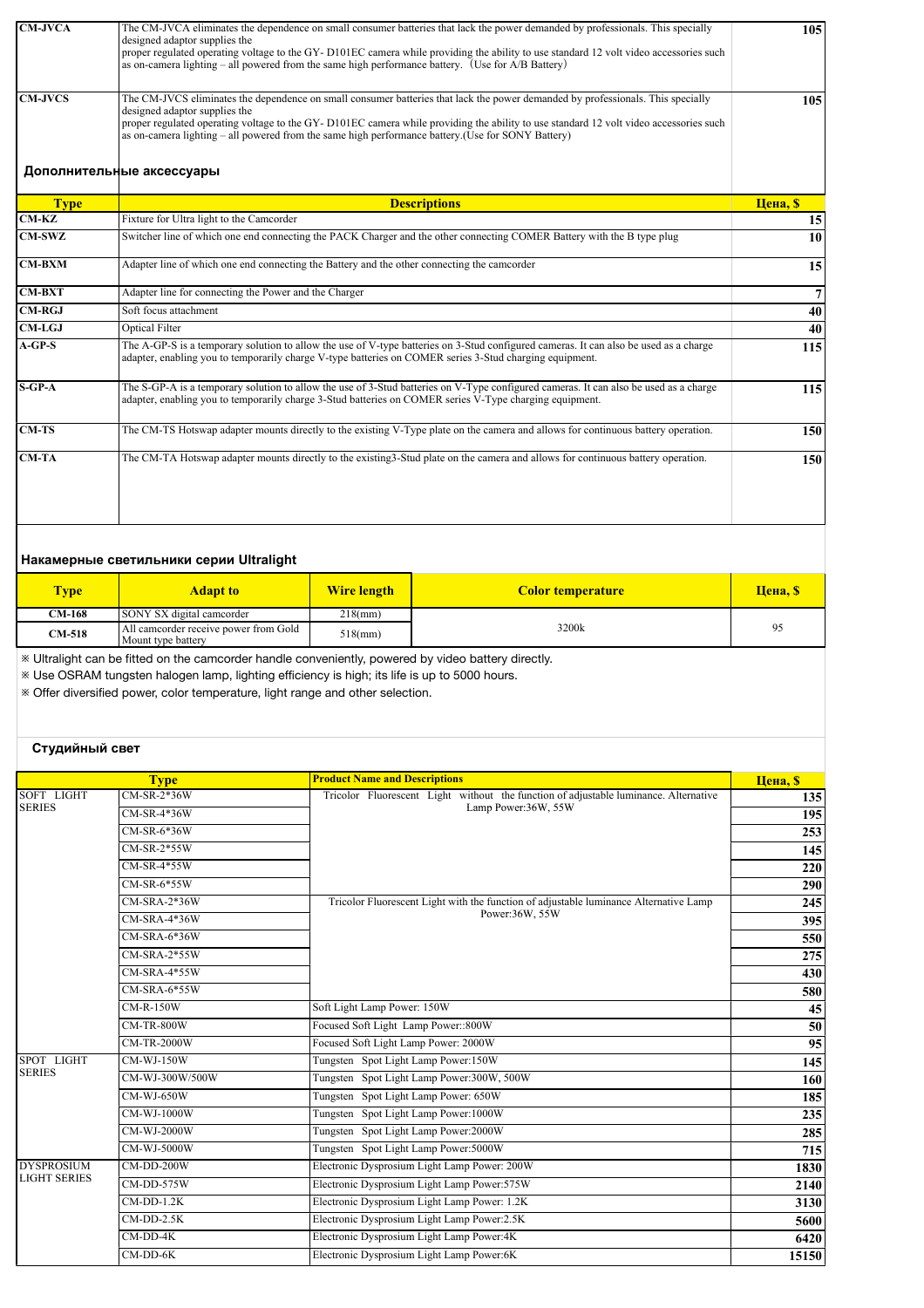| <b>CM-JVCA</b> | The CM-JVCA eliminates the dependence on small consumer batteries that lack the power demanded by professionals. This specially<br>designed adaptor supplies the<br>proper regulated operating voltage to the GY-D101EC camera while providing the ability to use standard 12 volt video accessories such<br>as on-camera lighting – all powered from the same high performance battery. (Use for A/B Battery)  | 105              |
|----------------|-----------------------------------------------------------------------------------------------------------------------------------------------------------------------------------------------------------------------------------------------------------------------------------------------------------------------------------------------------------------------------------------------------------------|------------------|
| <b>CM-JVCS</b> | The CM-JVCS eliminates the dependence on small consumer batteries that lack the power demanded by professionals. This specially<br>designed adaptor supplies the<br>proper regulated operating voltage to the GY-D101EC camera while providing the ability to use standard 12 volt video accessories such<br>as on-camera lighting – all powered from the same high performance battery. (Use for SONY Battery) | 105              |
|                | Дополнительные аксессуары                                                                                                                                                                                                                                                                                                                                                                                       |                  |
| <b>Type</b>    | <b>Descriptions</b>                                                                                                                                                                                                                                                                                                                                                                                             | <b>Цена</b> , \$ |
| $CM-KZ$        | Fixture for Ultra light to the Camcorder                                                                                                                                                                                                                                                                                                                                                                        | 15               |
| <b>CM-SWZ</b>  | Switcher line of which one end connecting the PACK Charger and the other connecting COMER Battery with the B type plug                                                                                                                                                                                                                                                                                          | 10               |
| <b>CM-BXM</b>  | Adapter line of which one end connecting the Battery and the other connecting the camcorder                                                                                                                                                                                                                                                                                                                     | 15               |
| $CM-BXT$       | Adapter line for connecting the Power and the Charger                                                                                                                                                                                                                                                                                                                                                           | 7                |
| $CM-RGJ$       | Soft focus attachment                                                                                                                                                                                                                                                                                                                                                                                           | 40               |
| <b>CM-LGJ</b>  | <b>Optical Filter</b>                                                                                                                                                                                                                                                                                                                                                                                           | 40               |
| $A-GP-S$       | The A-GP-S is a temporary solution to allow the use of V-type batteries on 3-Stud configured cameras. It can also be used as a charge<br>adapter, enabling you to temporarily charge V-type batteries on COMER series 3-Stud charging equipment.                                                                                                                                                                | 115              |
| $S-GP-A$       | The S-GP-A is a temporary solution to allow the use of 3-Stud batteries on V-Type configured cameras. It can also be used as a charge<br>adapter, enabling you to temporarily charge 3-Stud batteries on COMER series V-Type charging equipment.                                                                                                                                                                | 115              |
| $CM-TS$        | The CM-TS Hotswap adapter mounts directly to the existing V-Type plate on the camera and allows for continuous battery operation.                                                                                                                                                                                                                                                                               | 150              |
| <b>CM-TA</b>   | The CM-TA Hotswap adapter mounts directly to the existing 3-Stud plate on the camera and allows for continuous battery operation.                                                                                                                                                                                                                                                                               | 150              |

# **Накамерные светильники серии Ultralight**

| <b>Type</b>   | <b>Adapt to</b>                                             | <b>Wire length</b> | <b>Color temperature</b> | <b>Цена</b> , \$ |
|---------------|-------------------------------------------------------------|--------------------|--------------------------|------------------|
| <b>CM-168</b> | SONY SX digital camcorder                                   | $218$ (mm)         |                          |                  |
| $CM-518$      | All camcorder receive power from Gold<br>Mount type battery | $518$ (mm)         | 3200k                    | $Q^2$            |

※ Ultralight can be fitted on the camcorder handle conveniently, powered by video battery directly.

※ Use OSRAM tungsten halogen lamp, lighting efficiency is high; its life is up to 5000 hours.

※ Offer diversified power, color temperature, light range and other selection.

# **Студийный свет**

|                     | <b>Type</b>         | <b>Product Name and Descriptions</b>                                                  | <b>Цена</b> , \$ |
|---------------------|---------------------|---------------------------------------------------------------------------------------|------------------|
| <b>SOFT LIGHT</b>   | CM-SR-2*36W         | Tricolor Fluorescent Light without the function of adjustable luminance. Alternative  | 135              |
| <b>SERIES</b>       | CM-SR-4*36W         | Lamp Power:36W, 55W                                                                   | 195              |
|                     | CM-SR-6*36W         |                                                                                       | 253              |
|                     | $CM-SR-2*55W$       |                                                                                       | 145              |
|                     | CM-SR-4*55W         |                                                                                       | 220              |
|                     | CM-SR-6*55W         |                                                                                       | 290              |
|                     | $CM-SRA-2*36W$      | Tricolor Fluorescent Light with the function of adjustable luminance Alternative Lamp | 245              |
|                     | CM-SRA-4*36W        | Power:36W, 55W                                                                        | 395              |
|                     | $CM-SRA-6*36W$      |                                                                                       | 550              |
|                     | CM-SRA-2*55W        |                                                                                       | 275              |
|                     | CM-SRA-4*55W        |                                                                                       | 430              |
|                     | <b>CM-SRA-6*55W</b> |                                                                                       | 580              |
|                     | <b>CM-R-150W</b>    | Soft Light Lamp Power: 150W                                                           | 45               |
|                     | <b>CM-TR-800W</b>   | Focused Soft Light Lamp Power::800W                                                   | 50               |
|                     | <b>CM-TR-2000W</b>  | Focused Soft Light Lamp Power: 2000W                                                  | 95               |
| SPOT LIGHT          | <b>CM-WJ-150W</b>   | Tungsten Spot Light Lamp Power:150W                                                   | 145              |
| <b>SERIES</b>       | CM-WJ-300W/500W     | Tungsten Spot Light Lamp Power:300W, 500W                                             | 160              |
|                     | <b>CM-WJ-650W</b>   | Tungsten Spot Light Lamp Power: 650W                                                  | 185              |
|                     | <b>CM-WJ-1000W</b>  | Tungsten Spot Light Lamp Power: 1000W                                                 | 235              |
|                     | <b>CM-WJ-2000W</b>  | Tungsten Spot Light Lamp Power:2000W                                                  | 285              |
|                     | <b>CM-WJ-5000W</b>  | Tungsten Spot Light Lamp Power:5000W                                                  | 715              |
| <b>DYSPROSIUM</b>   | $CM$ -DD-200 $W$    | Electronic Dysprosium Light Lamp Power: 200W                                          | 1830             |
| <b>LIGHT SERIES</b> | CM-DD-575W          | Electronic Dysprosium Light Lamp Power:575W                                           | 2140             |
|                     | $CM-DD-1.2K$        | Electronic Dysprosium Light Lamp Power: 1.2K                                          | 3130             |
|                     | $CM$ -DD-2.5 $K$    | Electronic Dysprosium Light Lamp Power: 2.5K                                          | 5600             |
|                     | $CM$ -DD-4 $K$      | Electronic Dysprosium Light Lamp Power:4K                                             | 6420             |
|                     | $CM$ -DD-6 $K$      | Electronic Dysprosium Light Lamp Power:6K                                             | 15150            |